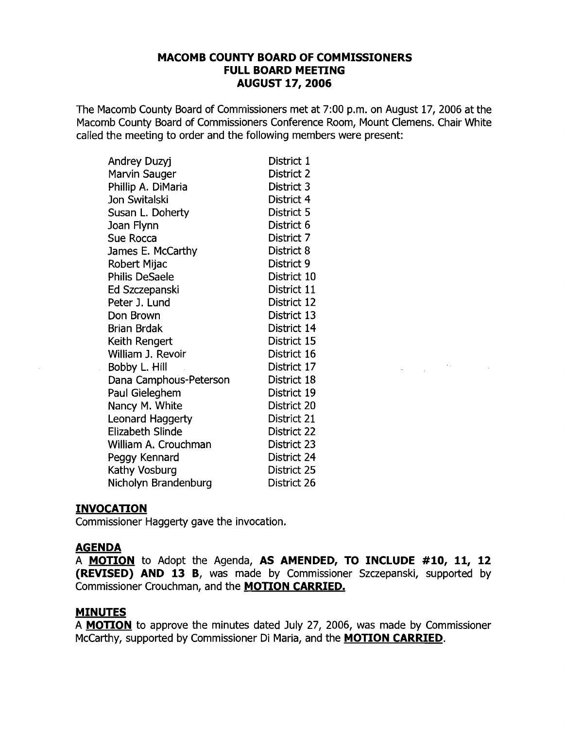### **MACOMB COUNTY BOARD OF COMMISSIONERS FULL BOARD MEETING AUGUST 17,2006**

The Macomb County Board of Commissioners met at 7:00 p.m. on August 17, 2006 at the Macomb County Board of Commissioners Conference Room, Mount Clemens. Chair White called the meeting to order and the following members were present:

| Andrey Duzyj            | District 1  |
|-------------------------|-------------|
| Marvin Sauger           | District 2  |
| Phillip A. DiMaria      | District 3  |
| Jon Switalski           | District 4  |
| Susan L. Doherty        | District 5  |
| Joan Flynn              | District 6  |
| Sue Rocca               | District 7  |
| James E. McCarthy       | District 8  |
| Robert Mijac            | District 9  |
| Philis DeSaele          | District 10 |
| Ed Szczepanski          | District 11 |
| Peter J. Lund           | District 12 |
| Don Brown               | District 13 |
| <b>Brian Brdak</b>      | District 14 |
| Keith Rengert           | District 15 |
| William J. Revoir       | District 16 |
| Bobby L. Hill           | District 17 |
| Dana Camphous-Peterson  | District 18 |
| Paul Gieleghem          | District 19 |
| Nancy M. White          | District 20 |
| <b>Leonard Haggerty</b> | District 21 |
| Elizabeth Slinde        | District 22 |
| William A. Crouchman    | District 23 |
| Peggy Kennard           | District 24 |
| Kathy Vosburg           | District 25 |
| Nicholyn Brandenburg    | District 26 |

#### **INVOCATION**

Commissioner Haggerty gave the invocation.

#### **AGENDA**

 $\mathcal{A}^{\mathcal{A}}$  .

A **MOTION** to Adopt the Agenda, **AS AMENDED, TO INCLUDE #10, 11, 12 (REVISED) AND 13** B, was made by Commissioner Szczepanski, supported by Commissioner Crouchman, and the **MOTION CARRIED.** 

 $\label{eq:2.1} \frac{1}{\sqrt{2\pi}}\frac{d\mu}{d\mu} = \frac{1}{\sqrt{2\pi}}\frac{d\mu}{d\mu} = \frac{1}{\sqrt{2\pi}}\frac{d\mu}{d\mu} = \frac{1}{\sqrt{2\pi}}\frac{d\mu}{d\mu} = \frac{1}{\sqrt{2\pi}}\frac{d\mu}{d\mu} = \frac{1}{\sqrt{2\pi}}\frac{d\mu}{d\mu} = \frac{1}{\sqrt{2\pi}}\frac{d\mu}{d\mu} = \frac{1}{\sqrt{2\pi}}\frac{d\mu}{d\mu} = \frac{1}{\sqrt{2\pi}}\frac{d\mu}{$ 

# **MINUTES**

A **MOTION** to approve the minutes dated July 27, 2006, was made by Commissioner McCarthy, supported by Commissioner Di Maria, and the **MOTION CARRIED.**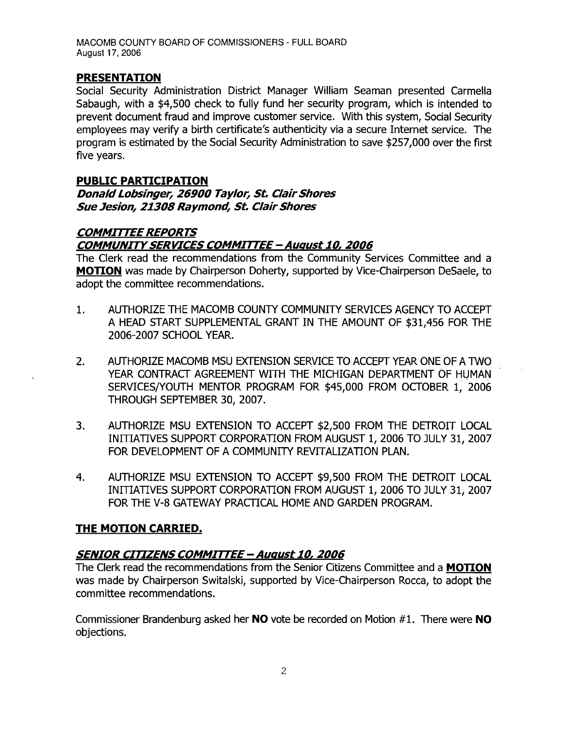MACOMB COUNTY BOARD OF COMMISSIONERS - FULL BOARD August 17, 2006

### **PRESENTATION**

Social Security Administration District Manager William Seaman presented Carmella Sabaugh, with a \$4,500 check to fully fund her security program, which is intended to prevent document fraud and improve customer service. With this system, Social Security employees may verify a birth certificate's authenticity via a secure Internet service. The program is estimated by the Social Security Administration to save \$257,000 over the first five years.

#### **PUBLIC PARTICIPATION DonaldLobsinger,** *26900* **Taylor, St. ClairShores**

**Sue Jesion, 21308 Raymond, St. Clair Shores** 

# **COMMITTEE REPORTS**

### **COMMUNITYSERVICES COMMIrrEE - August** *10, 2006*

The Clerk read the recommendations from the Community Services Committee and a **MOTION** was made by Chairperson Doherty, supported by Vice-Chairperson DeSaele, to adopt the committee recommendations.

- 1. AUTHORIZE THE MACOMB COUNTY COMMUNITY SERVICES AGENCY TO ACCEPT A HEAD START SUPPLEMENTAL GRANT IN THE AMOUNT OF \$31,456 FOR THE 2006-2007 SCHOOL YEAR.
- 2. AUTHORIZE MACOMB MSU EXTENSION SERVICE TO ACCEPT YEAR ONE OF A TWO YEAR CONTRACT AGREEMENT WITH THE MICHIGAN DEPARTMENT OF HUMAN SERVICES/YOUTH MENTOR PROGRAM FOR \$45,000 FROM OCTOBER 1, 2006 THROUGH SEPTEMBER 30, 2007.
- 3. AUTHORIZE MSU EXTENSION TO ACCEPT \$2,500 FROM THE DETROIT LOCAL INITIATIVES SUPPORT CORPORATION FROM AUGUST 1, 2006 TO JULY 31, 2007 FOR DEVELOPMENT OF A COMMUNITY REVITALIZATION PLAN.
- 4. AUTHORIZE MSU EXTENSION TO ACCEPT \$9,500 FROM THE DETROIT LOCAL INITIATIVES SUPPORT CORPORATION FROM AUGUST 1, 2006 TO JULY 31, 2007 FOR THE V-8 GATEWAY PRACTICAL HOME AND GARDEN PROGRAM.

### **THE MOTION CARRIED.**

### **SENIOR CITIZENS COMMIrrEE - August** *10,2006*

The Clerk read the recommendations from the Senior Citizens Committee and a **MOTION**  was made by Chairperson Switalski, supported by Vice-Chairperson Rocca, to adopt the committee recommendations.

Commissioner Brandenburg asked her **NO** vote be recorded on Motion #1. There were **NO**  objections.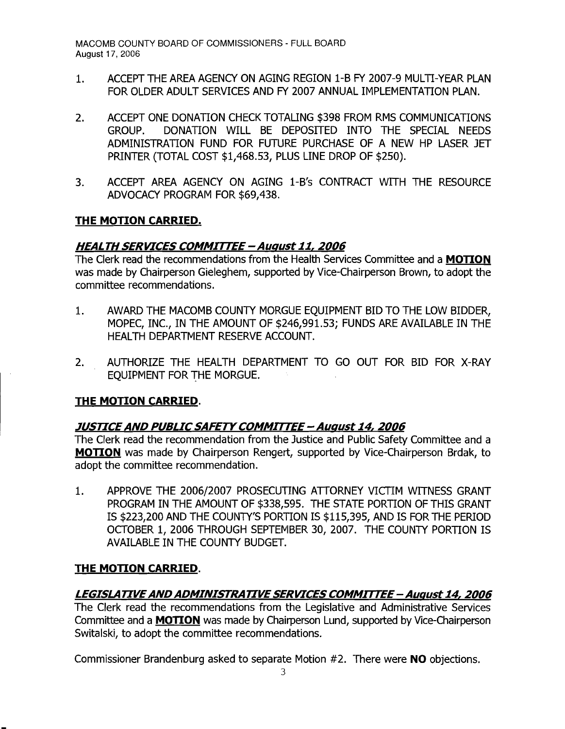- 1. ACCEPT THE AREA AGENCY ON AGING REGION 1-B FY 2007-9 MULTI-YEAR PLAN FOR OLDER ADULT SERVICES AND FY 2007 ANNUAL IMPLEMENTATION PLAN.
- 2. ACCEPT ONE DONATION CHECK TOTALING \$398 FROM RMS COMMUNICATIONS GROUP. DONATION WILL BE DEPOSITED INTO THE SPECIAL NEEDS ADMINISTRATION FUND FOR FUTURE PURCHASE OF A NEW HP LASER JET PRlNTER (TOTAL COST \$1,468.53, PLUS LINE DROP OF \$250).
- 3. ACCEPT AREA AGENCY ON AGING 1-B's CONTRACT WITH THE RESOURCE ADVOCACY PROGRAM FOR \$69,438.

## **THE MOTION CARRIED.**

## **HEALTH SERVICES COMMITTEE -August11,2006**

The Clerk read the recommendations from the Health Services Committee and a **MOTION**  was made by Chairperson Gieleghem, supported by Vice-Chairperson Brown, to adopt the committee recommendations.

- 1. AWARD THE MACOMB COUNTY MORGUE EQUIPMENT BID TO THE LOW BIDDER, MOPEC, INC., IN THE AMOUNT OF \$246,991.53; FUNDS ARE AVAILABLE IN THE HEALTH DEPARTMENT RESERVE ACCOUNT.
- 2. AUTHORIZE THE HEALTH DEPARTMENT TO GO OUT FOR BID FOR X-RAY EQUIPMENT FOR THE MORGUE.

# **THE MOTION CARRIED.**

# **JUSTICEAND PUBLICSAFETYCOMMITTEE- August 14, 2006**

The Clerk read the recommendation from the Justice and Public Safety Committee and a **MOTION** was made by Chairperson Rengert, supported by Vice-Chairperson Brdak, to adopt the committee recommendation.

1. APPROVE THE 2006/2007 PROSECUTING ATTORNEY VICTIM WITNESS GRANT PROGRAM IN THE AMOUNT OF \$338,595. THE STATE PORTION OF THIS GRANT IS \$223,200 AND THE COUNTY'S PORTION IS \$115,395, AND IS FOR THE PERIOD OCTOBER 1, 2006 THROUGH SEPTEMBER 30, 2007. THE COUNTY PORTION IS AVAILABLE IN THE COUNTY BUDGET.

### **THE MOTION CARRIED.**

# **LEGISLATIVEANDADMINISTRATIVESERVICES COMMITTEE- August14,2006**

The Clerk read the recommendations from the Legislative and Administrative Services Committee and a **MOTION** was made by Chairperson Lund, supported by Vice-Chairperson Switalski, to adopt the committee recommendations.

Commissioner Brandenburg asked to separate Motion #2. There were **NO** objections.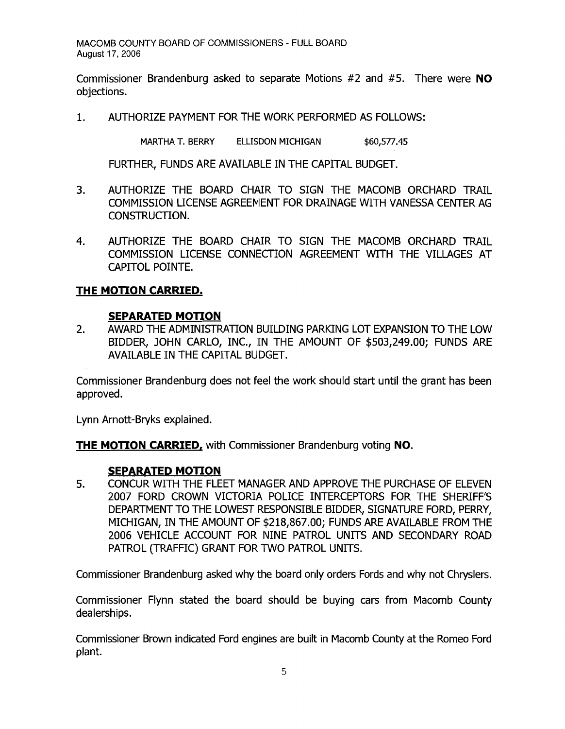Commissioner Brandenburg asked to separate Motions #2 and #5. There were **NO**  objections.

1. AUTHORIZE PAYMENT FOR THE WORK PERFORMED AS FOLLOWS:

MARTHA T. BERRY ELLISDON MICHIGAN \$60,577.45

FURTHER, FUNDS ARE AVAILABLE IN THE CAPITAL BUDGET.

- 3. AUTHORIZE THE BOARD CHAIR TO SIGN THE MACOMB ORCHARD TRAIL COMMISSION LICENSE AGREEMENT FOR DRAINAGE WITH VANESSA CENTER AG CONSTRUCTION.
- 4. AUTHORIZE THE BOARD CHAIR TO SIGN THE MACOMB ORCHARD TRAIL COMMISSION LICENSE CONNECTION AGREEMENT WITH THE VILLAGES AT CAPITOL POINTE.

### **THE MOTION CARRIED.**

#### **SEPARATED MOTION**

2. AWARD THE ADMINISTRATION BUILDING PARKING LOT EXPANSION TO THE LOW BIDDER, JOHN CARLO, INC., IN THE AMOUNT OF \$503,249.00; FUNDS ARE AVAILABLE IN THE CAPITAL BUDGET.

Commissioner Brandenburg does not feel the work should start until the grant has been approved.

Lynn Arnott-Bryks explained.

**THE MOTION CARRIED,** with Commissioner Brandenburg voting **NO.** 

#### **SEPARATED MOTION**

5. CONCUR WITH THE FLEET MANAGER AND APPROVE THE PURCHASE OF ELEVEN 2007 FORD CROWN VICTORIA POLICE INTERCEPTORS FOR THE SHER[FFS DEPARTMENT TO THE LOWEST RESPONSIBLE BIDDER, SIGNATURE FORD, PERRY, MICHIGAN, IN THE AMOUNT OF \$218,867.00; FUNDS ARE AVAILABLE FROM THE 2006 VEHICLE ACCOUNT FOR NINE PATROL UNITS AND SECONDARY ROAD PATROL (TRAFFIC) GRANT FOR TWO PATROL UNITS.

Commissioner Brandenburg asked why the board only orders Fords and why not Chryslers.

Commissioner Flynn stated the board should be buying cars from Macomb County dealerships.

Commissioner Brown indicated Ford engines are built in Macomb County at the Romeo Ford plant.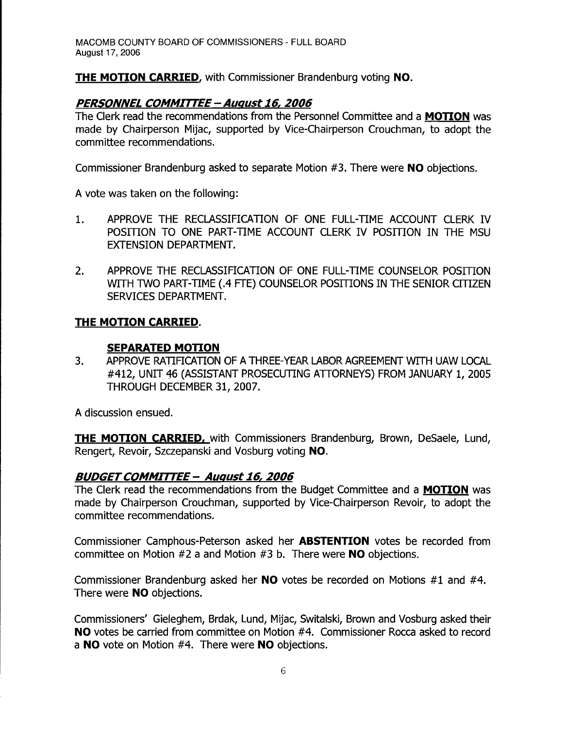**THE MOTION CARRIED,** with Commissioner Brandenburg voting **NO.** 

# **PERSONNEL COMMITTEE-August 16,2006**

The Clerk read the recommendations from the Personnel Committee and a **MOTION** was made by Chairperson Mijac, supported by Vice-Chairperson Crouchman, to adopt the committee recommendations.

Commissioner Brandenburg asked to separate Motion #3. There were **NO** objections.

A vote was taken on the following:

- 1. APPROVE THE RECLASSIFICATION OF ONE FULL-TIME ACCOUNT CLERK IV POSITION TO ONE PART-TIME ACCOUNT CLERK IV POSITION IN THE MSU EXTENSION DEPARTMENT.
- 2. APPROVE THE RECLASSIFICATION OF ONE FULL-TIME COUNSELOR POSITION WITH TWO PART-TIME (.4 FTE) COUNSELOR POSITIONS IN THE SENIOR CITIZEN SERVICES DEPARTMENT.

# **THE MOTION CARRIED.**

# **SEPARATED MOTION**

3. APPROVE RATIFICATION OF A THREE-YEAR LABOR AGREEMENT WITH UAW LOCAL #412, UNIT 46 (ASSISTANT PROSECUTING ATTORNEYS) FROM JANUARY 1, 2005 THROUGH DECEMBER 31, 2007.

A discussion ensued.

**THE MOTION CARRIED,** with Commissioners Brandenburg, Brown, DeSaele, Lund, Rengert, Revoir, Szczepanski and Vosburg voting **NO.** 

# **BUDGETCOMMITTEE - August 16,2006**

The Clerk read the recommendations from the Budget Committee and a **MOTION** was made by Chairperson Crouchman, supported by Vice-Chairperson Revoir, to adopt the committee recommendations.

Commissioner Camphous-Peterson asked her **ABSTENTION** votes be recorded from committee on Motion #2 a and Motion #3 b. There were **NO** objections.

Commissioner Brandenburg asked her **NO** votes be recorded on Motions #1 and #4. There were **NO** objections.

Commissioners' Gieleghem, Brdak, Lund, Mijac, Switalski, Brown and Vosburg asked their **NO** votes be carried from committee on Motion #4. Commissioner Rocca asked to record a **NO** vote on Motion #4. There were **NO** objections.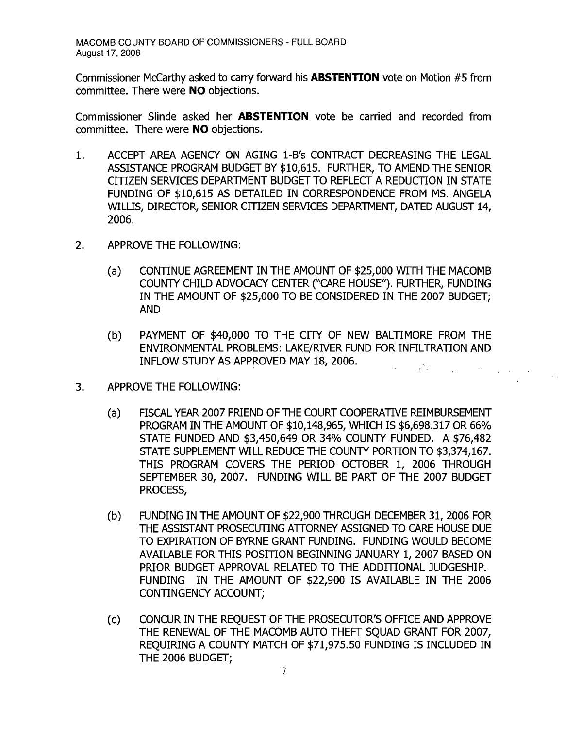Commissioner McCarthy asked to carry forward his **ABSTENTION** vote on Motion #5 from committee. There were **NO** objections.

Commissioner Slinde asked her **ABSTENTION** vote be carried and recorded from committee. There were **NO** objections.

- 1. ACCEPT AREA AGENCY ON AGING 1-B's CONTRACT DECREASING THE LEGAL ASSISTANCE PROGRAM BUDGET BY \$10,615. FURTHER, TO AMEND THE SENIOR CITIZEN SERVICES DEPARTMENT BUDGET TO REFLECT A REDUCTION IN STATE FUNDING OF \$10,615 AS DETAILED IN CORRESPONDENCE FROM MS. ANGELA WILLIS, DIRECTOR, SENIOR CITIZEN SERVICES DEPARTMENT, DATED AUGUST 14, 2006.
- 2. APPROVE THE FOLLOWING:
	- (a) CONTINUE AGREEMENT IN THE AMOUNT OF \$25,000 WITH THE MACOMB COUNTY CHILD ADVOCACY CENTER ("CARE HOUSE"). FURTHER, FUNDING IN THE AMOUNT OF \$25,000 TO BE CONSIDERED IN THE 2007 BUDGET; AND
	- (b) PAYMENT OF \$40,000 TO THE CITY OF NEW BALTIMORE FROM THE ENVIRONMENTAL PROBLEMS: LAKE/RIVER FUND FOR INFILTRATION AND INFLOW STUDY AS APPROVED MAY 18, 2006.  $\varphi^{\rm (in)}$

 $\Delta \sim 100$ 

- 3. APPROVE THE FOLLOWING:
	- (a) FISCAL YEAR 2007 FRIEND OF THE COURT COOPERATIVE REIMBURSEMENT PROGRAM IN THE AMOUNT OF \$10,148,965, WHICH IS \$6,698.317 OR 66% STATE FUNDED AND \$3,450,649 OR 34% COUNTY FUNDED. A \$76,482 STATE SUPPLEMENT WILL REDUCE THE COUNTY PORTION TO \$3,374,167. THIS PROGRAM COVERS THE PERIOD OCTOBER 1, 2006 THROUGH SEPTEMBER 30, 2007. FUNDING WILL BE PART OF THE 2007 BUDGET PROCESS,
	- (b) FUNDING IN THE AMOUNT OF \$22,900 THROUGH DECEMBER 31, 2006 FOR THE ASSISTANT PROSECUTING ATTORNEY ASSIGNED TO CARE HOUSE DUE TO EXPIRATION OF BYRNE GRANT FUNDING. FUNDING WOULD BECOME AVAILABLE FOR THIS POSITION BEGINNING JANUARY 1, 2007 BASED ON PRIOR BUDGET APPROVAL RELATED TO THE ADDITIONAL JUDGESHIP. FUNDING IN THE AMOUNT OF \$22,900 IS AVAILABLE IN THE 2006 CONTINGENCY ACCOUNT;
	- (c) CONCUR IN THE REQUEST OF THE PROSECUTOR'S OFFICE AND APPROVE THE RENEWAL OF THE MACOMB AUTO THEFT SQUAD GRANT FOR 2007, REOUIRING A COUNTY MATCH OF \$71,975.50 FUNDING IS INCLUDED IN THE 2006 BUDGET;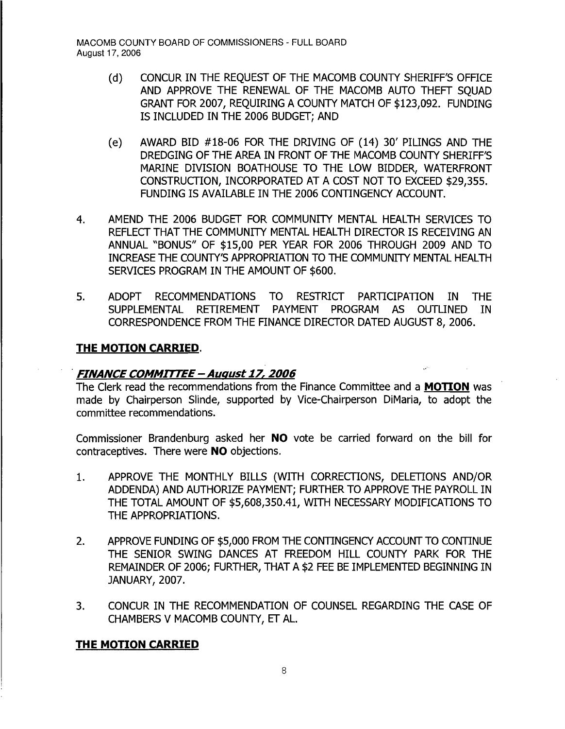- (d) CONCUR IN THE REQUEST OF THE MACOMB COUNTY SHERIFF'S OFFICE AND APPROVE THE RENEWAL OF THE MACOMB AUTO THEFT SQUAD GRANT FOR 2007, REQUIRING A COUNTY MATCH OF \$123,092. FUNDING IS INCLUDED IN THE 2006 BUDGET; AND
- (e) AWARD BID #18-06 FOR THE DRIVING OF (14) 30' PILINGS AND THE DREDGING OF THE AREA IN FRONT OF THE MACOMB COUNTY SHERIFF'S MARINE DIVISION BOATHOUSE TO THE LOW BIDDER, WATERFRONT CONSTRUCTION, INCORPORATED AT A COST NOT TO EXCEED \$29,355. FUNDING IS AVAILABLE IN THE 2006 CONTINGENCY ACCOUNT.
- 4. AMEND THE 2006 BUDGET FOR COMMUNITY MENTAL HEALTH SERVICES TO REFLECT THAT THE COMMUNITY MENTAL HEALTH DIRECTOR IS RECEIVING AN ANNUAL "BONUS" OF \$15,00 PER YEAR FOR 2006 THROUGH 2009 AND TO INCREASE THE COUNTY'S APPROPRIATION TO THE COMMUNITY MENTAL HEALTH SERVICES PROGRAM IN THE AMOUNT OF \$600.
- 5. ADOPT RECOMMENDATIONS TO RESTRICT PARTICIPATION IN THE SUPPLEMENTAL RETIREMENT PAYMENT PROGRAM AS OUTLINED IN CORRESPONDENCE FROM THE FINANCE DIRECTOR DATED AUGUST 8, 2006.

### **THE MOTION CARRIED.**

#### . **FINANCE COMMITTEE - August 17, 2006** ,.,'

The Clerk read the recommendations from the Finance Committee and a **MOTION** was made by Chairperson Slinde, supported by Vice-Chairperson DiMaria, to adopt the committee recommendations.

Commissioner Brandenburg asked her **NO** vote be carried forward on the bill for contraceptives. There were **NO** objections.

- 1. APPROVE THE MONTHLY BILLS (WITH CORRECTIONS, DELETIONS AND/OR ADDENDA) AND AUTHORIZE PAYMENT; FURTHER TO APPROVE THE PAYROLL IN THE TOTAL AMOUNT OF \$5,608,350.41, WITH NECESSARY MODIFICATIONS TO THE APPROPRIATIONS.
- 2. APPROVE FUNDING OF \$5,000 FROM THE CONTINGENCY ACCOUNT TO CONTINUE THE SENIOR SWING DANCES AT FREEDOM HILL COUNTY PARK FOR THE REMAINDER OF 2006; FURTHER, THAT A \$2 FEE BE IMPLEMENTED BEGINNING IN JANUARY, 2007.
- 3. CONCUR IN THE RECOMMENDATION OF COUNSEL REGARDING THE CASE OF CHAMBERS V MACOMB COUNTY, ET AL.

### **THE MOTION CARRIED**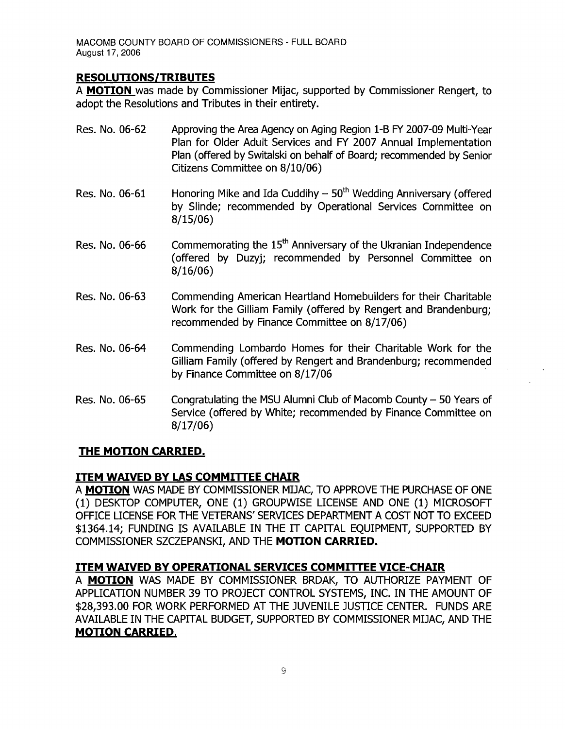## **RESOLUTIONS/TRIBUTES**

A **MOTION** was made by Commissioner Mijac, supported by Commissioner Rengert, to adopt the Resolutions and Tributes in their entirety.

- Res. No. 06-62 Approving the Area Agency on Aging Region 1-B FY 2007-09 Multi-Year Plan for Older Adult Services and FY 2007 Annual Implementation Plan (offered by Switalski on behalf of Board; recommended by Senior Citizens Committee on 8/10/06)
- Res. No. 06-61 Honoring Mike and Ida Cuddihy  $-50<sup>th</sup>$  Wedding Anniversary (offered by Slinde; recommended by Operational Services Committee on 8/15/06)
- Res. No.  $06-66$  Commemorating the  $15<sup>th</sup>$  Anniversary of the Ukranian Independence (offered by Duzyj; recommended by Personnel Committee on 8/16/06)
- Res. No. 06-63 Commending American Heartland Homebuilders for their Charitable Work for the Gilliam Family (offered by Rengert and Brandenburg; recommended by Finance Committee on 8/17/06)
- Res. No. 06-64 Commending Lombardo Homes for their Charitable Work for the Gilliam Family (offered by Rengert and Brandenburg; recommended by Finance Committee on 8/17/06
- Res. No. 06-65 Congratulating the MSU Alumni Club of Macomb County  $-50$  Years of Service (offered by White; recommended by Finance Committee on 8/17/06)

# **THE MOTION CARRIED.**

# **ITEM WAIVED BY LAS COMMITTEE CHAIR**

A **MOTION** WAS MADE BY COMMISSIONER MIJAC, TO APPROVE THE PURCHASE OF ONE (1) DESKTOP COMPUTER, ONE (1) GROUPWISE LICENSE AND ONE (1) MICROSOFT OFFICE LICENSE FOR THE VETERANS' SERVICES DEPARTMENT A COST NOT TO EXCEED \$1364.14; FUNDING IS AVAILABLE IN THE IT CAPITAL EQUIPMENT, SUPPORTED BY COMMISSIONER SZCZEPANSKI, AND THE **MOTION CARRIED.** 

# **ITEM WAIVED BY OPERATIONAL SERVICES COMMITTEE VICE-CHAIR**

A **MOTION** WAS MADE BY COMMISSIONER BRDAK, TO AUTHORIZE PAYMENT OF APPLICATION NUMBER 39 TO PROJECT CONTROL SYSTEMS, INC. IN THE AMOUNT OF \$28,393.00 FOR WORK PERFORMED AT THE JUVENILE JUSTICE CENTER. FUNDS ARE AVAILABLE IN THE CAPITAL BUDGET, SUPPORTED BY COMMISSIONER MIJAC, AND THE **MOTION CARRIED.**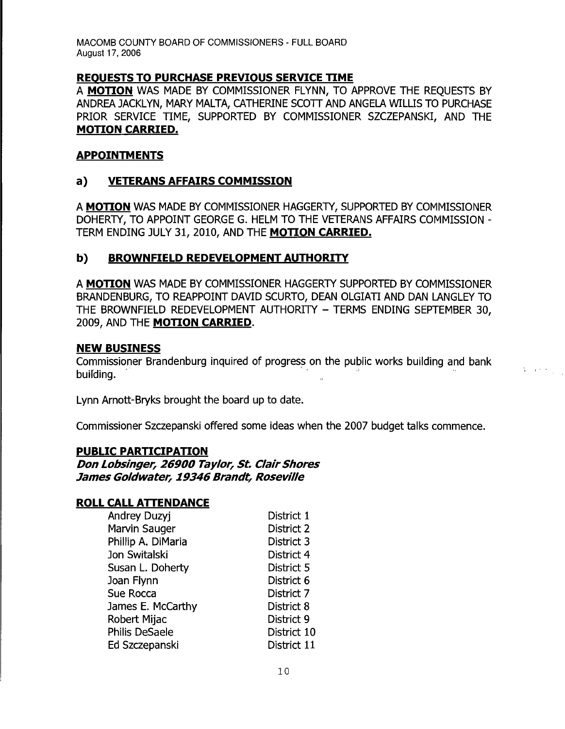MACOMB COUNTY BOARD OF COMMISSIONERS - FULL BOARD August 17, 2006

### **REOUESTS TO PURCHASE PREVIOUS SERVICE TIME**

A **MOTION** WAS MADE BY COMMISSIONER FLYNN, TO APPROVE THE REQUESTS BY ANDREA JACKLYN, MARY MALTA, CATHERINE SCOTT AND ANGELA WILLIS TO PURCHASE PRIOR SERVICE TIME, SUPPORTED BY COMMISSIONER SZCZEPANSKI, AND THE **MOTION CARRIED.** 

#### **APPOINTM ENTS**

### **a) VETERANS AFFAIRS COMMISSION**

A **MOTION** WAS MADE BY COMMISSIONER HAGGERTY, SUPPORTED BY COMMISSIONER DOHERTY, TO APPOINT GEORGE G. HELM TO THE VETERANS AFFAIRS COMMISSION -TERM ENDING JULY 31, 2010, AND THE **MOTION CARRIED.** 

### **b) BROWNFIELD REDEVELOPMENT AUTHORITY**

A **MOTION** WAS MADE BY COMMISSIONER HAGGER1Y SUPPORTED BY COMMISSIONER BRANDENBURG, TO REAPPOINT DAVID SCURTO, DEAN OLGIATI AND DAN LANGLEY TO THE BROWNFIELD REDEVELOPMENT AUTHORITY - TERMS ENDING SEPTEMBER 30, 2009, AND THE **MOTION CARRIED.**  A MOTION WAS MADE BY COMMISSIONER HAGGERTY SUPPORTED BY COMMISSIONER<br>BRANDENBURG, TO REAPPOINT DAVID SCURTO, DEAN OLGIATI AND DAN LANGLEY TO<br>THE BROWNFIELD REDEVELOPMENT AUTHORITY — TERMS ENDING SEPTEMBER 30,<br>2009, AND THE

#### **NEW BUSINESS**

Commissioner Brandenburg inquired of progress on the public works building and bank

 $\label{eq:2} \frac{1}{2} \left( \frac{1}{2} \left( \frac{1}{2} \right) \right) \left( \frac{1}{2} \right) \left( \frac{1}{2} \right)$ 

Lynn Arnott-Bryks brought the board up to date.

Commissioner Szczepanski offered some ideas when the 2007 budget talks commence.

#### **PUBLIC PARTICIPATION**

**Don Lobsinger, 26900 Taylor, St. Clair Shores James Goldwater, 19346 Brandt, Roseville** 

#### ROLL CALL ATTENDANCE

| Andrey Duzyj          | District 1  |
|-----------------------|-------------|
| Marvin Sauger         | District 2  |
| Phillip A. DiMaria    | District 3  |
| Jon Switalski         | District 4  |
| Susan L. Doherty      | District 5  |
| Joan Flynn            | District 6  |
| Sue Rocca             | District 7  |
| James E. McCarthy     | District 8  |
| Robert Mijac          | District 9  |
| <b>Philis DeSaele</b> | District 10 |
| Ed Szczepanski        | District 11 |